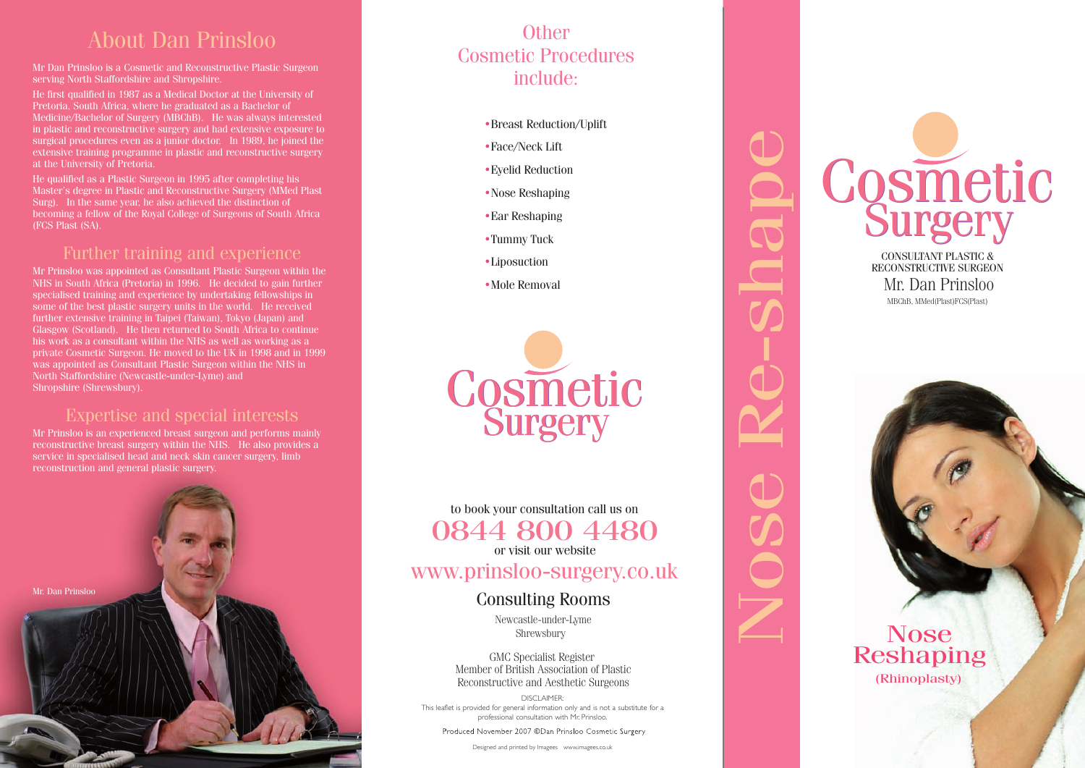### About Dan Prinsloo

Mr Dan Prinsloo is a Cosmetic and Reconstructive Plastic Surgeon serving North Staffordshire and Shropshire.

He first qualified in 1987 as a Medical Doctor at the University of Medicine/Bachelor of Surgery (MBChB). He was always interested in plastic and reconstructive surgery and had extensive exposure to surgical procedures even as a junior doctor. In 1989, he joined the extensive training programme in plastic and reconstructive surgery

He qualified as a Plastic Surgeon in 1995 after completing his Master's degree in Plastic and Reconstructive Surgery (MMed Plast Surg). In the same year, he also achieved the distinction of becoming a fellow of the Royal College of Surgeons of South Africa (FCS Plast (SA).

#### Further training and experience

consumant whem the twist as we<br>tic Surgeon. He moved to the I<br>as Consultant Plastic Surgeon<br>Ishire (Newcastle-under-Lyme)<br>nrewsbury). Ethen returned to South Africa<br>
within the NHS as well as wor<br>
In He moved to the UK in 1998<br>
Iltant Plastic Surgeon within the Mr Prinsloo was appointed as Consultant Plastic Surgeon within the NHS in South Africa (Pretoria) in 1996. He decided to gain further specialised training and experience by undertaking fellowships in some of the best plastic surgery units in the world. He received further extensive training in Taipei (Taiwan), Tokyo (Japan) and Glasgow (Scotland). He then returned to South Africa to continue his work as a consultant within the NHS as well as working as a private Cosmetic Surgeon. He moved to the UK in 1998 and in 1999 was appointed as Consultant Plastic Surgeon within the NHS in North Staffordshire (Newcastle-under-Lyme) and Shropshire (Shrewsbury).

#### Expertise and special interests

Mr Prinsloo is an experienced breast surgeon and performs mainly reconstructive breast surgery within the NHS. He also provides a service in specialised head and neck skin cancer surgery, limb reconstruction and general plastic surgery.



### Cosmetic Procedures include: **Other**

- •Breast Reduction/Uplift
- $\bullet$  Face/Neck Lift
- $\bullet$  Eyelid Reduction
- •Nose Reshaping
- Ear Reshaping
- $\bullet$ Tummy Tuck
- •Liposuction
- Mole Removal



Nose Re-shape

to book your consultation call us on **OOTT OUU TH<br>
or visit our website**<br>
WWW.DPPDS00-SUPPEP nose Re-shape Re-shape Re-shape Re-shape Re-shape Re-shape Re-shape Re-shape Re-shape Re-shape Re-shape Re-shape Re-shape Re-shape Re-shape Re-shape Re-shape Re-shape Re-shape Re-shape Re-shape Re-shape Re-shape Re-shape R **Shrewsburg**<br>
Soft our www.<br>
Intervalued Shrewsburg<br>
Specialist Repecialist Right Associal<br>
Specialist Repecialist Right Associal www.prinsloo-surgery.co.uk to book your consultation call us on or visit our website 0844 800 4480

# Consulting Rooms

Newcastle-under-Lyme Shrewsbury

Montou of British Regional Reconstructive and Aesthetic Surgeons GMC Specialist Register Member of British Association of Plastic

DISCLAIMER:<br>This leaflet is provided for general information only and is not a substitute for a DISCLAIMER: professional consultation with Mr. Prinsloo.

Designed and printed by Imagees www.imagees.co.uk